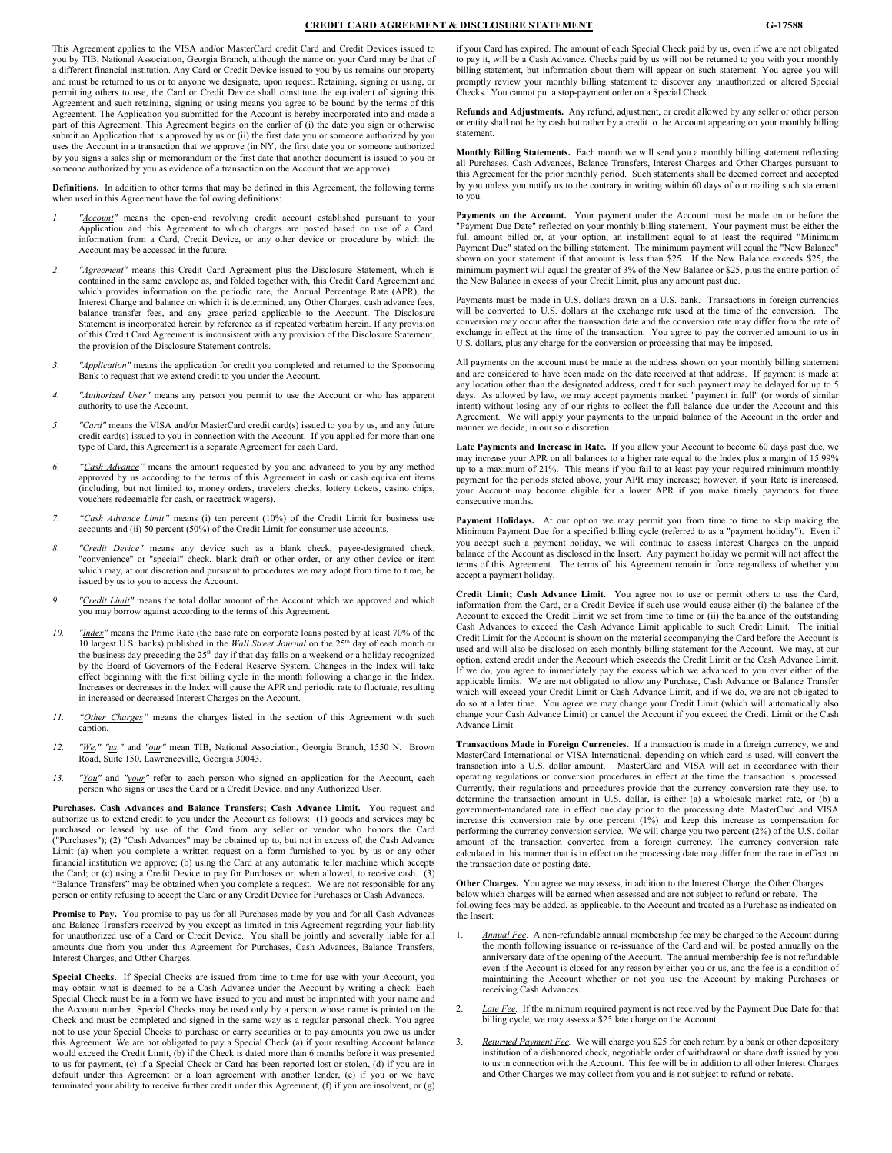### **CREDIT CARD AGREEMENT & DISCLOSURE STATEMENT G-17588**

This Agreement applies to the VISA and/or MasterCard credit Card and Credit Devices issued to you by TIB, National Association, Georgia Branch, although the name on your Card may be that of a different financial institution. Any Card or Credit Device issued to you by us remains our property and must be returned to us or to anyone we designate, upon request. Retaining, signing or using, or<br>permitting others to use, the Card or Credit Device shall constitute the equivalent of signing this Agreement and such retaining, signing or using means you agree to be bound by the terms of this Agreement. The Application you submitted for the Account is hereby incorporated into and made a part of this Agreement. This Agreement begins on the earlier of (i) the date you sign or otherwise submit an Application that is approved by us or (ii) the first date you or someone authorized by you uses the Account in a transaction that we approve (in NY, the first date you or someone authorized by you signs a sales slip or memorandum or the first date that another document is issued to you or eone authorized by you as evidence of a transaction on the Account that we approve).

**Definitions.** In addition to other terms that may be defined in this Agreement, the following terms when used in this Agreement have the following definitions:

- *1. "Account"* means the open-end revolving credit account established pursuant to your Application and this Agreement to which charges are posted based on use of a Card, information from a Card, Credit Device, or any other device or procedure by which the Account may be accessed in the future.
- *2. "Agreement"* means this Credit Card Agreement plus the Disclosure Statement, which is contained in the same envelope as, and folded together with, this Credit Card Agreement and which provides information on the periodic rate, the Annual Percentage Rate (APR), the Interest Charge and balance on which it is determined, any Other Charges, cash advance fees, balance transfer fees, and any grace period applicable to the Account. The Disclosure Statement is incorporated herein by reference as if repeated verbatim herein. If any provision of this Credit Card Agreement is inconsistent with any provision of the Disclosure Statement, the provision of the Disclosure Statement controls.
- *3. "Application"* means the application for credit you completed and returned to the Sponsoring Bank to request that we extend credit to you under the Account.
- *4. "Authorized User"* means any person you permit to use the Account or who has apparent authority to use the Account.
- *5. "Card"* means the VISA and/or MasterCard credit card(s) issued to you by us, and any future credit card(s) issued to you in connection with the Account. If you applied for more than one type of Card, this Agreement is a separate Agreement for each Card.
- *6. "Cash Advance"* means the amount requested by you and advanced to you by any method approved by us according to the terms of this Agreement in cash or cash equivalent items (including, but not limited to, money orders, travelers checks, lottery tickets, casino chips, vouchers redeemable for cash, or racetrack wagers).
- *7. "Cash Advance Limit"* means (i) ten percent (10%) of the Credit Limit for business use accounts and (ii) 50 percent (50%) of the Credit Limit for consumer use accounts.
- *8. "Credit Device"* means any device such as a blank check, payee-designated check, "convenience" or "special" check, blank draft or other order, or any other device or item which may, at our discretion and pursuant to procedures we may adopt from time to time, be issued by us to you to access the Account.
- *9. "Credit Limit"* means the total dollar amount of the Account which we approved and which you may borrow against according to the terms of this Agreement.
- *10. "Index"* means the Prime Rate (the base rate on corporate loans posted by at least 70% of the 10 largest U.S. banks) published in the *Wall Street Journal* on the 25th day of each month or the business day preceding the  $25<sup>th</sup>$  day if that day falls on a weekend or a holiday recognized by the Board of Governors of the Federal Reserve System. Changes in the Index will take effect beginning with the first billing cycle in the month following a change in the Index. Increases or decreases in the Index will cause the APR and periodic rate to fluctuate, resulting in increased or decreased Interest Charges on the Account.
- *11. "Other Charges"* means the charges listed in the section of this Agreement with such caption.
- *12. "We," "us,"* and *"our"* mean TIB, National Association, Georgia Branch, 1550 N. Brown Road, Suite 150, Lawrenceville, Georgia 30043.
- *13. "You"* and *"your"* refer to each person who signed an application for the Account, each person who signs or uses the Card or a Credit Device, and any Authorized User.

**Purchases, Cash Advances and Balance Transfers; Cash Advance Limit.** You request and authorize us to extend credit to you under the Account as follows: (1) goods and services may be purchased or leased by use of the Card from any seller or vendor who honors the Card ("Purchases"); (2) "Cash Advances" may be obtained up to, but not in excess of, the Cash Advance Limit (a) when you complete a written request on a form furnished to you by us or any other financial institution we approve; (b) using the Card at any automatic teller machine which accepts the Card; or (c) using a Credit Device to pay for Purchases or, when allowed, to receive cash. (3) "Balance Transfers" may be obtained when you complete a request. We are not responsible for any person or entity refusing to accept the Card or any Credit Device for Purchases or Cash Advances.

**Promise to Pay.** You promise to pay us for all Purchases made by you and for all Cash Advances and Balance Transfers received by you except as limited in this Agreement regarding your liability for unauthorized use of a Card or Credit Device. You shall be jointly and severally liable for all amounts due from you under this Agreement for Purchases, Cash Advances, Balance Transfers, Interest Charges, and Other Charges.

**Special Checks.** If Special Checks are issued from time to time for use with your Account, you may obtain what is deemed to be a Cash Advance under the Account by writing a check. Each Special Check must be in a form we have issued to you and must be imprinted with your name and the Account number. Special Checks may be used only by a person whose name is printed on the Check and must be completed and signed in the same way as a regular personal check. You agree not to use your Special Checks to purchase or carry securities or to pay amounts you owe us under this Agreement. We are not obligated to pay a Special Check (a) if your resulting Account balance would exceed the Credit Limit, (b) if the Check is dated more than 6 months before it was presented to us for payment, (c) if a Special Check or Card has been reported lost or stolen, (d) if you are in default under this Agreement or a loan agreement with another lender, (e) if you or we have terminated your ability to receive further credit under this Agreement, (f) if you are insolvent, or (g)

if your Card has expired. The amount of each Special Check paid by us, even if we are not obligated to pay it, will be a Cash Advance. Checks paid by us will not be returned to you with your monthly billing statement, but information about them will appear on such statement. You agree you will promptly review your monthly billing statement to discover any unauthorized or altered Special Checks. You cannot put a stop-payment order on a Special Check.

**Refunds and Adjustments.** Any refund, adjustment, or credit allowed by any seller or other person or entity shall not be by cash but rather by a credit to the Account appearing on your monthly billing statement.

**Monthly Billing Statements.** Each month we will send you a monthly billing statement reflecting all Purchases, Cash Advances, Balance Transfers, Interest Charges and Other Charges pursuant to this Agreement for the prior monthly period. Such statements shall be deemed correct and accepted by you unless you notify us to the contrary in writing within 60 days of our mailing such statement to you.

Payments on the Account. Your payment under the Account must be made on or before the "Payment Due Date" reflected on your monthly billing statement. Your payment must be either the full amount billed or, at your option, an installment equal to at least the required "Minimum Payment Due" stated on the billing statement. The minimum payment will equal the "New Balance" shown on your statement if that amount is less than \$25. If the New Balance exceeds \$25, the minimum payment will equal the greater of 3% of the New Balance or \$25, plus the entire portion of the New Balance in excess of your Credit Limit, plus any amount past due.

Payments must be made in U.S. dollars drawn on a U.S. bank. Transactions in foreign currencies will be converted to U.S. dollars at the exchange rate used at the time of the conversion. The conversion may occur after the transaction date and the conversion rate may differ from the rate of exchange in effect at the time of the transaction. You agree to pay the converted amount to us in U.S. dollars, plus any charge for the conversion or processing that may be imposed.

All payments on the account must be made at the address shown on your monthly billing statement and are considered to have been made on the date received at that address. If payment is made at any location other than the designated address, credit for such payment may be delayed for up to 5 days. As allowed by law, we may accept payments marked "payment in full" (or words of similar intent) without losing any of our rights to collect the full balance due under the Account and this Agreement. We will apply your payments to the unpaid balance of the Account in the order and manner we decide, in our sole discretion.

**Late Payments and Increase in Rate.** If you allow your Account to become 60 days past due, we may increase your APR on all balances to a higher rate equal to the Index plus a margin of 15.99% up to a maximum of 21%. This means if you fail to at least pay your required minimum monthly payment for the periods stated above, your APR may increase; however, if your Rate is increased, your Account may become eligible for a lower APR if you make timely payments for three consecutive months.

**Payment Holidays.** At our option we may permit you from time to time to skip making the Minimum Payment Due for a specified billing cycle (referred to as a "payment holiday"). Even if you accept such a payment holiday, we will continue to assess Interest Charges on the unpaid balance of the Account as disclosed in the Insert. Any payment holiday we permit will not affect the terms of this Agreement. The terms of this Agreement remain in force regardless of whether you accept a payment holiday.

**Credit Limit; Cash Advance Limit.** You agree not to use or permit others to use the Card, information from the Card, or a Credit Device if such use would cause either (i) the balance of the Account to exceed the Credit Limit we set from time to time or (ii) the balance of the outstanding Cash Advances to exceed the Cash Advance Limit applicable to such Credit Limit. The initial Credit Limit for the Account is shown on the material accompanying the Card before the Account is used and will also be disclosed on each monthly billing statement for the Account. We may, at our option, extend credit under the Account which exceeds the Credit Limit or the Cash Advance Limit. If we do, you agree to immediately pay the excess which we advanced to you over either of the applicable limits. We are not obligated to allow any Purchase, Cash Advance or Balance Transfer which will exceed your Credit Limit or Cash Advance Limit, and if we do, we are not obligated to do so at a later time. You agree we may change your Credit Limit (which will automatically also change your Cash Advance Limit) or cancel the Account if you exceed the Credit Limit or the Cash Advance Limit.

**Transactions Made in Foreign Currencies.** If a transaction is made in a foreign currency, we and MasterCard International or VISA International, depending on which card is used, will convert the transaction into a U.S. dollar amount. MasterCard and VISA will act in accordance with their operating regulations or conversion procedures in effect at the time the transaction is processed. Currently, their regulations and procedures provide that the currency conversion rate they use, to determine the transaction amount in U.S. dollar, is either (a) a wholesale market rate, or (b) a government-mandated rate in effect one day prior to the processing date. MasterCard and VISA increase this conversion rate by one percent (1%) and keep this increase as compensation for performing the currency conversion service. We will charge you two percent (2%) of the U.S. dollar amount of the transaction converted from a foreign currency. The currency conversion rate calculated in this manner that is in effect on the processing date may differ from the rate in effect on the transaction date or posting date.

**Other Charges.** You agree we may assess, in addition to the Interest Charge, the Other Charges below which charges will be earned when assessed and are not subject to refund or rebate. The following fees may be added, as applicable, to the Account and treated as a Purchase as indicated on the Insert:

- 1. *Annual Fee.* A non-refundable annual membership fee may be charged to the Account during the month following issuance or re-issuance of the Card and will be posted annually on the anniversary date of the opening of the Account. The annual membership fee is not refundable even if the Account is closed for any reason by either you or us, and the fee is a condition of maintaining the Account whether or not you use the Account by making Purchases or receiving Cash Advances.
- 2. *Late Fee.* If the minimum required payment is not received by the Payment Due Date for that billing cycle, we may assess a \$25 late charge on the Account.
- 3. *Returned Payment Fee.* We will charge you \$25 for each return by a bank or other depository institution of a dishonored check, negotiable order of withdrawal or share draft issued by you to us in connection with the Account. This fee will be in addition to all other Interest Charges and Other Charges we may collect from you and is not subject to refund or rebate.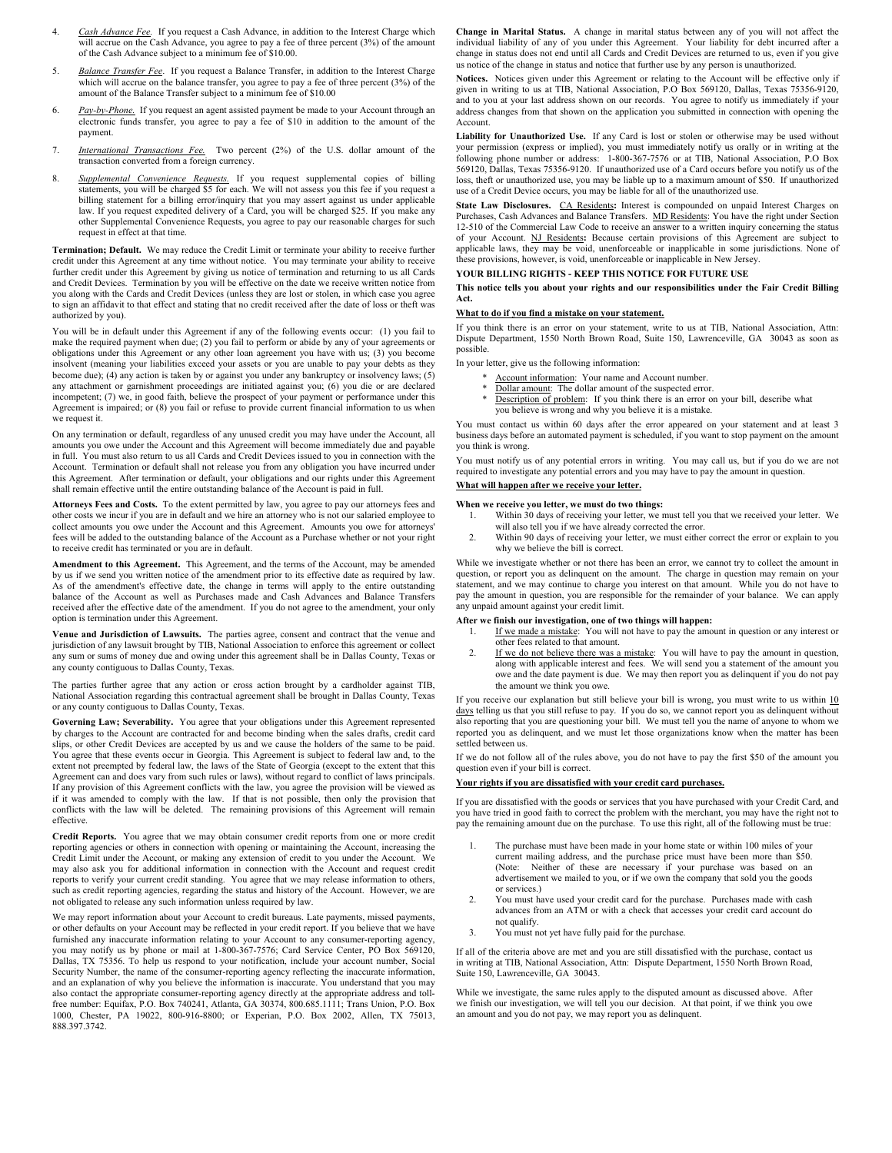- 4. *Cash Advance Fee.* If you request a Cash Advance, in addition to the Interest Charge which will accrue on the Cash Advance, you agree to pay a fee of three percent  $(3%)$  of the amount of the Cash Advance subject to a minimum fee of \$10.00.
- 5. *Balance Transfer Fee*. If you request a Balance Transfer, in addition to the Interest Charge which will accrue on the balance transfer, you agree to pay a fee of three percent (3%) of the amount of the Balance Transfer subject to a minimum fee of \$10.00
- 6. *Pay-by-Phone.* If you request an agent assisted payment be made to your Account through an electronic funds transfer, you agree to pay a fee of \$10 in addition to the amount of the payment.
- 7. *International Transactions Fee.* Two percent (2%) of the U.S. dollar amount of the transaction converted from a foreign currency.
- 8. *Supplemental Convenience Requests.* If you request supplemental copies of billing statements, you will be charged \$5 for each. We will not assess you this fee if you request a billing statement for a billing error/inquiry that you may assert against us under applicable law. If you request expedited delivery of a Card, you will be charged \$25. If you make any other Supplemental Convenience Requests, you agree to pay our reasonable charges for such request in effect at that time.

**Termination; Default.** We may reduce the Credit Limit or terminate your ability to receive further credit under this Agreement at any time without notice. You may terminate your ability to receive further credit under this Agreement by giving us notice of termination and returning to us all Cards and Credit Devices. Termination by you will be effective on the date we receive written notice from you along with the Cards and Credit Devices (unless they are lost or stolen, in which case you agree to sign an affidavit to that effect and stating that no credit received after the date of loss or theft was authorized by you).

You will be in default under this Agreement if any of the following events occur: (1) you fail to make the required payment when due; (2) you fail to perform or abide by any of your agreements or obligations under this Agreement or any other loan agreement you have with us; (3) you become insolvent (meaning your liabilities exceed your assets or you are unable to pay your debts as they become due); (4) any action is taken by or against you under any bankruptcy or insolvency laws; (5) any attachment or garnishment proceedings are initiated against you; (6) you die or are declared incompetent; (7) we, in good faith, believe the prospect of your payment or performance under this Agreement is impaired; or (8) you fail or refuse to provide current financial information to us when we request it.

On any termination or default, regardless of any unused credit you may have under the Account, all amounts you owe under the Account and this Agreement will become immediately due and payable in full. You must also return to us all Cards and Credit Devices issued to you in connection with the Account. Termination or default shall not release you from any obligation you have incurred under this Agreement. After termination or default, your obligations and our rights under this Agreement shall remain effective until the entire outstanding balance of the Account is paid in full.

**Attorneys Fees and Costs.** To the extent permitted by law, you agree to pay our attorneys fees and other costs we incur if you are in default and we hire an attorney who is not our salaried employee to collect amounts you owe under the Account and this Agreement. Amounts you owe for attorneys' fees will be added to the outstanding balance of the Account as a Purchase whether or not your right to receive credit has terminated or you are in default.

**Amendment to this Agreement.** This Agreement, and the terms of the Account, may be amended by us if we send you written notice of the amendment prior to its effective date as required by law. As of the amendment's effective date, the change in terms will apply to the entire outstanding balance of the Account as well as Purchases made and Cash Advances and Balance Transfers received after the effective date of the amendment. If you do not agree to the amendment, your only option is termination under this Agreement.

**Venue and Jurisdiction of Lawsuits.** The parties agree, consent and contract that the venue and jurisdiction of any lawsuit brought by TIB, National Association to enforce this agreement or collect any sum or sums of money due and owing under this agreement shall be in Dallas County, Texas or any county contiguous to Dallas County, Texas.

The parties further agree that any action or cross action brought by a cardholder against TIB, National Association regarding this contractual agreement shall be brought in Dallas County, Texas or any county contiguous to Dallas County, Texas.

**Governing Law; Severability.** You agree that your obligations under this Agreement represented by charges to the Account are contracted for and become binding when the sales drafts, credit card slips, or other Credit Devices are accepted by us and we cause the holders of the same to be paid. You agree that these events occur in Georgia. This Agreement is subject to federal law and, to the extent not preempted by federal law, the laws of the State of Georgia (except to the extent that this Agreement can and does vary from such rules or laws), without regard to conflict of laws principals. If any provision of this Agreement conflicts with the law, you agree the provision will be viewed as if it was amended to comply with the law. If that is not possible, then only the provision that conflicts with the law will be deleted. The remaining provisions of this Agreement will remain effective.

**Credit Reports.** You agree that we may obtain consumer credit reports from one or more credit reporting agencies or others in connection with opening or maintaining the Account, increasing the Credit Limit under the Account, or making any extension of credit to you under the Account. We may also ask you for additional information in connection with the Account and request credit reports to verify your current credit standing. You agree that we may release information to others, such as credit reporting agencies, regarding the status and history of the Account. However, we are not obligated to release any such information unless required by law.

We may report information about your Account to credit bureaus. Late payments, missed payments, or other defaults on your Account may be reflected in your credit report. If you believe that we have furnished any inaccurate information relating to your Account to any consumer-reporting agency, you may notify us by phone or mail at 1-800-367-7576; Card Service Center, PO Box 569120, Dallas, TX 75356. To help us respond to your notification, include your account number, Social Security Number, the name of the consumer-reporting agency reflecting the inaccurate information, and an explanation of why you believe the information is inaccurate. You understand that you may also contact the appropriate consumer-reporting agency directly at the appropriate address and tollfree number: Equifax, P.O. Box 740241, Atlanta, GA 30374, 800.685.1111; Trans Union, P.O. Box 1000, Chester, PA 19022, 800-916-8800; or Experian, P.O. Box 2002, Allen, TX 75013, 888.397.3742.

**Change in Marital Status.** A change in marital status between any of you will not affect the individual liability of any of you under this Agreement. Your liability for debt incurred after a change in status does not end until all Cards and Credit Devices are returned to us, even if you give us notice of the change in status and notice that further use by any person is unauthorized.

**Notices.** Notices given under this Agreement or relating to the Account will be effective only if given in writing to us at TIB, National Association, P.O Box 569120, Dallas, Texas 75356-9120, and to you at your last address shown on our records. You agree to notify us immediately if your address changes from that shown on the application you submitted in connection with opening the Account.

**Liability for Unauthorized Use.** If any Card is lost or stolen or otherwise may be used without your permission (express or implied), you must immediately notify us orally or in writing at the following phone number or address: 1-800-367-7576 or at TIB, National Association, P.O Box 569120, Dallas, Texas 75356-9120. If unauthorized use of a Card occurs before you notify us of the loss, theft or unauthorized use, you may be liable up to a maximum amount of \$50. If unauthorized use of a Credit Device occurs, you may be liable for all of the unauthorized use.

**State Law Disclosures.** CA Residents**:** Interest is compounded on unpaid Interest Charges on Purchases, Cash Advances and Balance Transfers. MD Residents: You have the right under Section 12-510 of the Commercial Law Code to receive an answer to a written inquiry concerning the status of your Account. NJ Residents**:** Because certain provisions of this Agreement are subject to applicable laws, they may be void, unenforceable or inapplicable in some jurisdictions. None of these provisions, however, is void, unenforceable or inapplicable in New Jersey.

## **YOUR BILLING RIGHTS - KEEP THIS NOTICE FOR FUTURE USE**

**This notice tells you about your rights and our responsibilities under the Fair Credit Billing Act.**

## **What to do if you find a mistake on your statement.**

If you think there is an error on your statement, write to us at TIB, National Association, Attn: Dispute Department, 1550 North Brown Road, Suite 150, Lawrenceville, GA 30043 as soon as possible.

In your letter, give us the following information:

- Account information: Your name and Account number.
- Dollar amount: The dollar amount of the suspected error.
- Description of problem: If you think there is an error on your bill, describe what you believe is wrong and why you believe it is a mistake.

You must contact us within 60 days after the error appeared on your statement and at least 3 business days before an automated payment is scheduled, if you want to stop payment on the amount you think is wrong.

You must notify us of any potential errors in writing. You may call us, but if you do we are not required to investigate any potential errors and you may have to pay the amount in question.

## **What will happen after we receive your letter.**

- **When we receive you letter, we must do two things:** 1. Within 30 days of receiving your letter, we must tell you that we received your letter. We
	- will also tell you if we have already corrected the error.
- 2. Within 90 days of receiving your letter, we must either correct the error or explain to you why we believe the bill is correct.

While we investigate whether or not there has been an error, we cannot try to collect the amount in question, or report you as delinquent on the amount. The charge in question may remain on your statement, and we may continue to charge you interest on that amount. While you do not have to pay the amount in question, you are responsible for the remainder of your balance. We can apply any unpaid amount against your credit limit.

#### **After we finish our investigation, one of two things will happen:**

- 1. If we made a mistake: You will not have to pay the amount in question or any interest or other fees related to that amount.
- 2. If we do not believe there was a mistake: You will have to pay the amount in question, along with applicable interest and fees. We will send you a statement of the amount you owe and the date payment is due. We may then report you as delinquent if you do not pay the amount we think you owe.

If you receive our explanation but still believe your bill is wrong, you must write to us within  $10$ days telling us that you still refuse to pay. If you do so, we cannot report you as delinquent without also reporting that you are questioning your bill. We must tell you the name of anyone to whom we reported you as delinquent, and we must let those organizations know when the matter has been settled between us.

If we do not follow all of the rules above, you do not have to pay the first \$50 of the amount you question even if your bill is correct.

### **Your rights if you are dissatisfied with your credit card purchases.**

If you are dissatisfied with the goods or services that you have purchased with your Credit Card, and you have tried in good faith to correct the problem with the merchant, you may have the right not to pay the remaining amount due on the purchase. To use this right, all of the following must be true:

- The purchase must have been made in your home state or within 100 miles of your current mailing address, and the purchase price must have been more than \$50. (Note: Neither of these are necessary if your purchase was based on an advertisement we mailed to you, or if we own the company that sold you the goods or services.)
- 2. You must have used your credit card for the purchase. Purchases made with cash advances from an ATM or with a check that accesses your credit card account do not qualify.
- 3. You must not yet have fully paid for the purchase.

If all of the criteria above are met and you are still dissatisfied with the purchase, contact us in writing at TIB, National Association, Attn: Dispute Department, 1550 North Brown Road, Suite 150, Lawrenceville, GA 30043.

While we investigate, the same rules apply to the disputed amount as discussed above. After we finish our investigation, we will tell you our decision. At that point, if we think you owe an amount and you do not pay, we may report you as delinquent.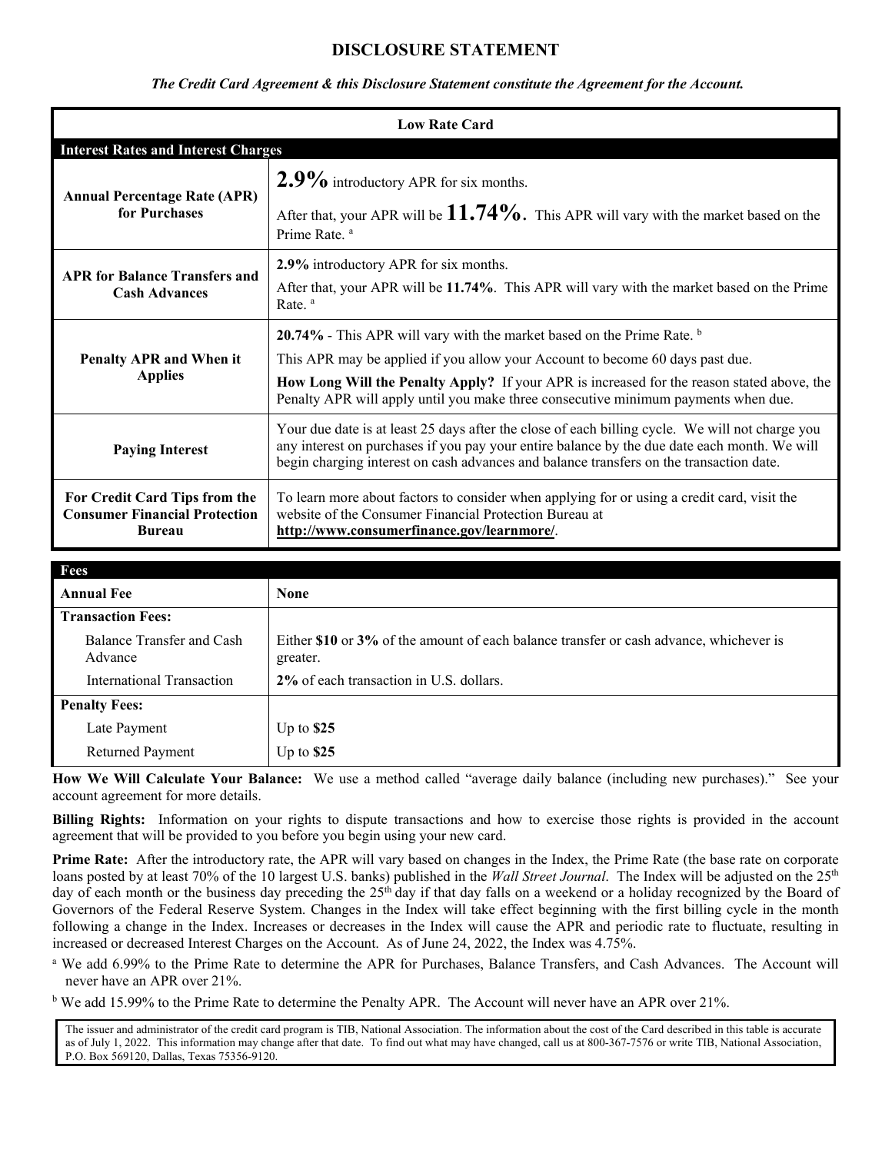# **DISCLOSURE STATEMENT**

## *The Credit Card Agreement & this Disclosure Statement constitute the Agreement for the Account.*

| <b>Low Rate Card</b>                                                                   |                                                                                                                                                                                                                                                                                            |  |
|----------------------------------------------------------------------------------------|--------------------------------------------------------------------------------------------------------------------------------------------------------------------------------------------------------------------------------------------------------------------------------------------|--|
| <b>Interest Rates and Interest Charges</b>                                             |                                                                                                                                                                                                                                                                                            |  |
| <b>Annual Percentage Rate (APR)</b><br>for Purchases                                   | $2.9\%$ introductory APR for six months.                                                                                                                                                                                                                                                   |  |
|                                                                                        | After that, your APR will be $11.74\%$ . This APR will vary with the market based on the<br>Prime Rate. <sup>a</sup>                                                                                                                                                                       |  |
| <b>APR for Balance Transfers and</b><br><b>Cash Advances</b>                           | 2.9% introductory APR for six months.                                                                                                                                                                                                                                                      |  |
|                                                                                        | After that, your APR will be 11.74%. This APR will vary with the market based on the Prime<br>Rate. <sup>a</sup>                                                                                                                                                                           |  |
| Penalty APR and When it<br><b>Applies</b>                                              | 20.74% - This APR will vary with the market based on the Prime Rate. $\frac{b}{2}$                                                                                                                                                                                                         |  |
|                                                                                        | This APR may be applied if you allow your Account to become 60 days past due.                                                                                                                                                                                                              |  |
|                                                                                        | How Long Will the Penalty Apply? If your APR is increased for the reason stated above, the<br>Penalty APR will apply until you make three consecutive minimum payments when due.                                                                                                           |  |
| <b>Paying Interest</b>                                                                 | Your due date is at least 25 days after the close of each billing cycle. We will not charge you<br>any interest on purchases if you pay your entire balance by the due date each month. We will<br>begin charging interest on cash advances and balance transfers on the transaction date. |  |
| For Credit Card Tips from the<br><b>Consumer Financial Protection</b><br><b>Bureau</b> | To learn more about factors to consider when applying for or using a credit card, visit the<br>website of the Consumer Financial Protection Bureau at<br>http://www.consumerfinance.gov/learnmore/.                                                                                        |  |

| Fees                                 |                                                                                                    |
|--------------------------------------|----------------------------------------------------------------------------------------------------|
| <b>Annual Fee</b>                    | <b>None</b>                                                                                        |
| <b>Transaction Fees:</b>             |                                                                                                    |
| Balance Transfer and Cash<br>Advance | Either \$10 or 3% of the amount of each balance transfer or cash advance, whichever is<br>greater. |
| <b>International Transaction</b>     | 2% of each transaction in U.S. dollars.                                                            |
| <b>Penalty Fees:</b>                 |                                                                                                    |
| Late Payment                         | Up to $$25$                                                                                        |
| <b>Returned Payment</b>              | Up to $$25$                                                                                        |

**How We Will Calculate Your Balance:** We use a method called "average daily balance (including new purchases)." See your account agreement for more details.

**Billing Rights:** Information on your rights to dispute transactions and how to exercise those rights is provided in the account agreement that will be provided to you before you begin using your new card.

**Prime Rate:** After the introductory rate, the APR will vary based on changes in the Index, the Prime Rate (the base rate on corporate loans posted by at least 70% of the 10 largest U.S. banks) published in the *Wall Street Journal*. The Index will be adjusted on the 25<sup>th</sup> day of each month or the business day preceding the 25<sup>th</sup> day if that day falls on a weekend or a holiday recognized by the Board of Governors of the Federal Reserve System. Changes in the Index will take effect beginning with the first billing cycle in the month following a change in the Index. Increases or decreases in the Index will cause the APR and periodic rate to fluctuate, resulting in increased or decreased Interest Charges on the Account. As of June 24, 2022, the Index was 4.75%.

- <sup>a</sup> We add 6.99% to the Prime Rate to determine the APR for Purchases, Balance Transfers, and Cash Advances. The Account will never have an APR over 21%.
- <sup>b</sup> We add 15.99% to the Prime Rate to determine the Penalty APR. The Account will never have an APR over 21%.

The issuer and administrator of the credit card program is TIB, National Association. The information about the cost of the Card described in this table is accurate as of July 1, 2022. This information may change after that date. To find out what may have changed, call us at 800-367-7576 or write TIB, National Association, P.O. Box 569120, Dallas, Texas 75356-9120.